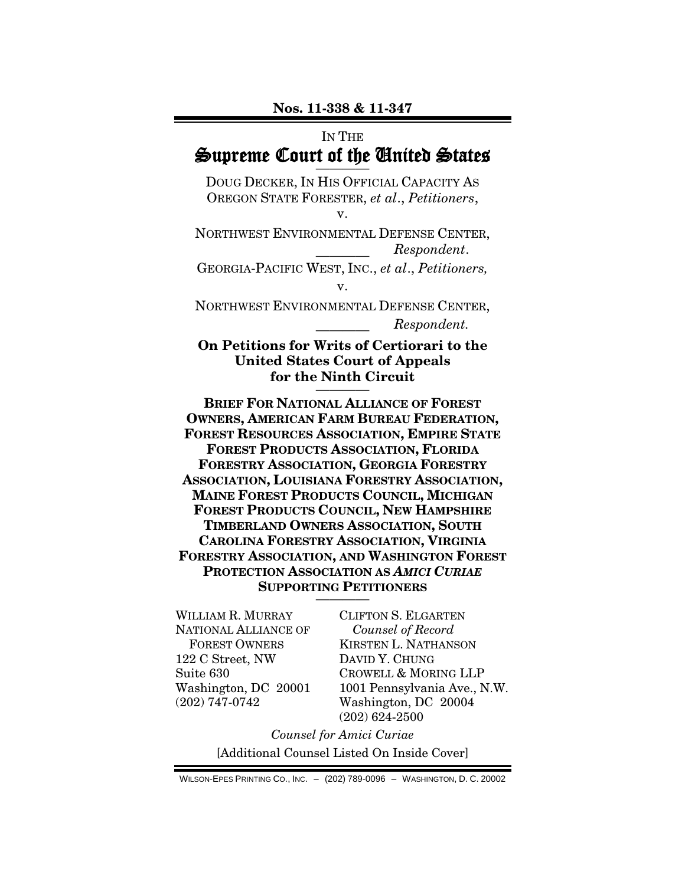## IN THE Supreme Court of the United States

DOUG DECKER, IN HIS OFFICIAL CAPACITY AS OREGON STATE FORESTER, *et al*., *Petitioners*,

v.

NORTHWEST ENVIRONMENTAL DEFENSE CENTER, ———— *Respondent*.

GEORGIA-PACIFIC WEST, INC., *et al*., *Petitioners,* v.

NORTHWEST ENVIRONMENTAL DEFENSE CENTER, ———— *Respondent.*

### **On Petitions for Writs of Certiorari to the United States Court of Appeals for the Ninth Circuit**

**BRIEF FOR NATIONAL ALLIANCE OF FOREST OWNERS, AMERICAN FARM BUREAU FEDERATION, FOREST RESOURCES ASSOCIATION, EMPIRE STATE FOREST PRODUCTS ASSOCIATION, FLORIDA FORESTRY ASSOCIATION, GEORGIA FORESTRY ASSOCIATION, LOUISIANA FORESTRY ASSOCIATION, MAINE FOREST PRODUCTS COUNCIL, MICHIGAN FOREST PRODUCTS COUNCIL, NEW HAMPSHIRE TIMBERLAND OWNERS ASSOCIATION, SOUTH CAROLINA FORESTRY ASSOCIATION, VIRGINIA FORESTRY ASSOCIATION, AND WASHINGTON FOREST PROTECTION ASSOCIATION AS** *AMICI CURIAE* **SUPPORTING PETITIONERS** ————

WILLIAM R. MURRAY NATIONAL ALLIANCE OF FOREST OWNERS 122 C Street, NW Suite 630 Washington, DC 20001 (202) 747-0742

CLIFTON S. ELGARTEN *Counsel of Record* KIRSTEN L. NATHANSON DAVID Y. CHUNG CROWELL & MORING LLP 1001 Pennsylvania Ave., N.W. Washington, DC 20004 (202) 624-2500

*Counsel for Amici Curiae* [Additional Counsel Listed On Inside Cover]

WILSON-EPES PRINTING CO., INC. – (202) 789-0096 – WASHINGTON, D. C. 20002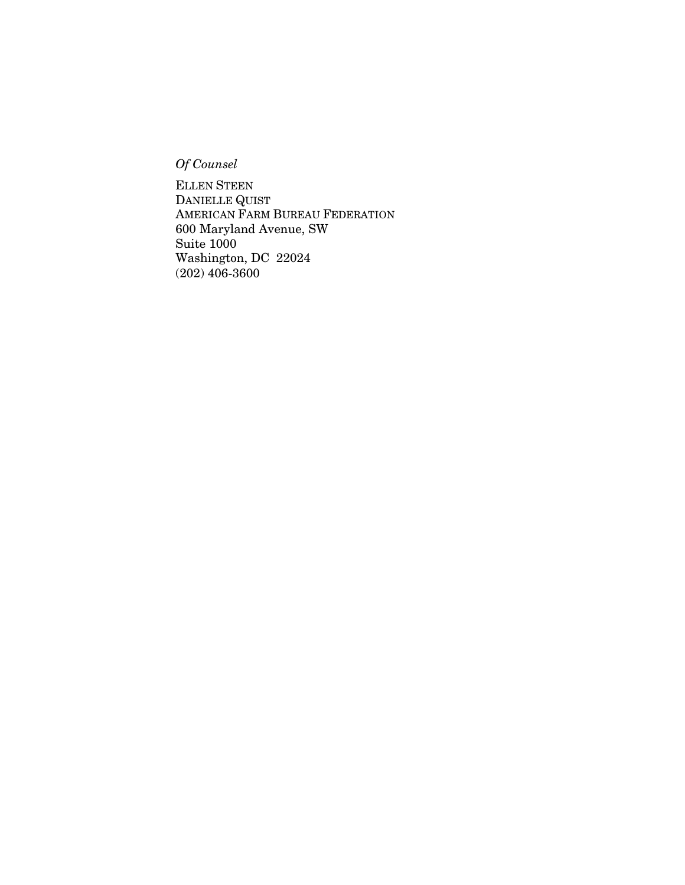*Of Counsel*

ELLEN STEEN DANIELLE QUIST AMERICAN FARM BUREAU FEDERATION 600 Maryland Avenue, SW Suite 1000 Washington, DC 22024 (202) 406-3600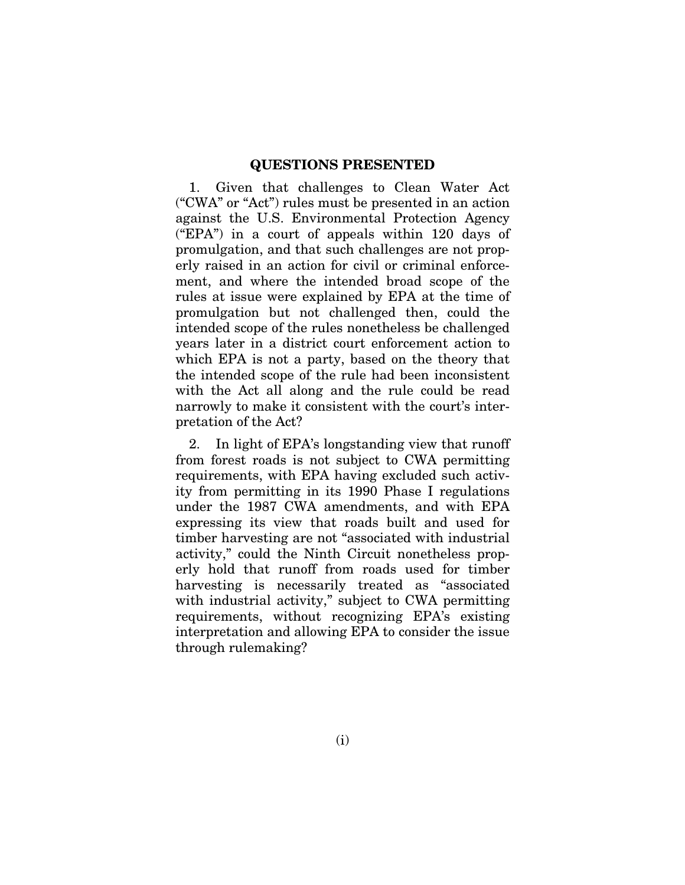### **QUESTIONS PRESENTED**

1. Given that challenges to Clean Water Act ("CWA" or "Act") rules must be presented in an action against the U.S. Environmental Protection Agency ("EPA") in a court of appeals within 120 days of promulgation, and that such challenges are not properly raised in an action for civil or criminal enforcement, and where the intended broad scope of the rules at issue were explained by EPA at the time of promulgation but not challenged then, could the intended scope of the rules nonetheless be challenged years later in a district court enforcement action to which EPA is not a party, based on the theory that the intended scope of the rule had been inconsistent with the Act all along and the rule could be read narrowly to make it consistent with the court's interpretation of the Act?

2. In light of EPA's longstanding view that runoff from forest roads is not subject to CWA permitting requirements, with EPA having excluded such activity from permitting in its 1990 Phase I regulations under the 1987 CWA amendments, and with EPA expressing its view that roads built and used for timber harvesting are not "associated with industrial activity," could the Ninth Circuit nonetheless properly hold that runoff from roads used for timber harvesting is necessarily treated as "associated with industrial activity," subject to CWA permitting requirements, without recognizing EPA's existing interpretation and allowing EPA to consider the issue through rulemaking?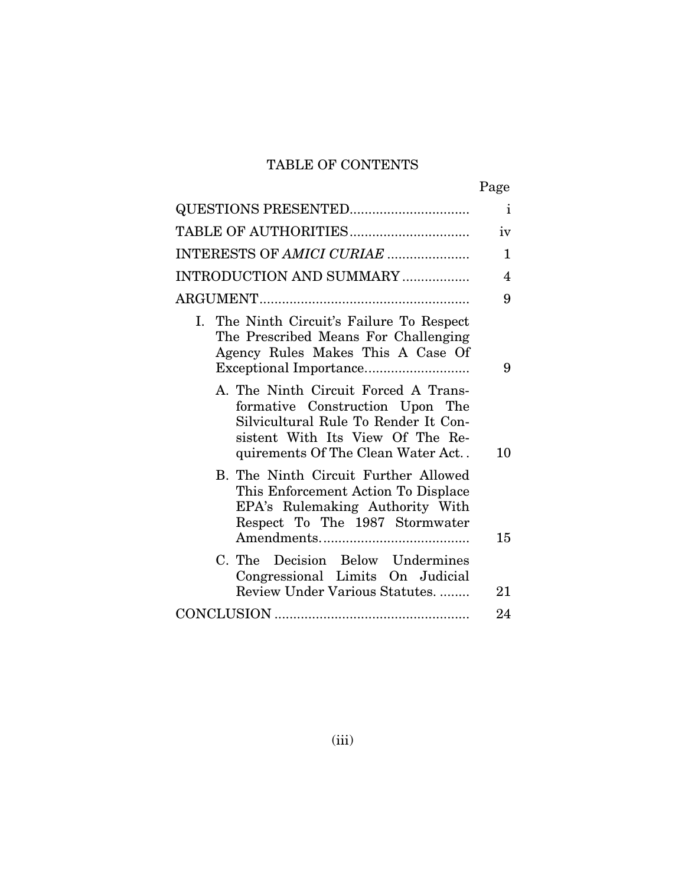# TABLE OF CONTENTS

|--|

|                                                                                                                                                                                          | $\mathbf{i}$ |
|------------------------------------------------------------------------------------------------------------------------------------------------------------------------------------------|--------------|
|                                                                                                                                                                                          | iv           |
| INTERESTS OF AMICI CURIAE                                                                                                                                                                | $\mathbf{1}$ |
| INTRODUCTION AND SUMMARY                                                                                                                                                                 | 4            |
|                                                                                                                                                                                          | 9            |
| I. The Ninth Circuit's Failure To Respect<br>The Prescribed Means For Challenging<br>Agency Rules Makes This A Case Of                                                                   | 9            |
| A. The Ninth Circuit Forced A Trans-<br>formative Construction Upon The<br>Silvicultural Rule To Render It Con-<br>sistent With Its View Of The Re-<br>quirements Of The Clean Water Act | 10           |
| B. The Ninth Circuit Further Allowed<br>This Enforcement Action To Displace<br>EPA's Rulemaking Authority With<br>Respect To The 1987 Stormwater                                         | 15           |
| C. The Decision Below Undermines<br>Congressional Limits On Judicial<br>Review Under Various Statutes                                                                                    | 21           |
|                                                                                                                                                                                          | 24           |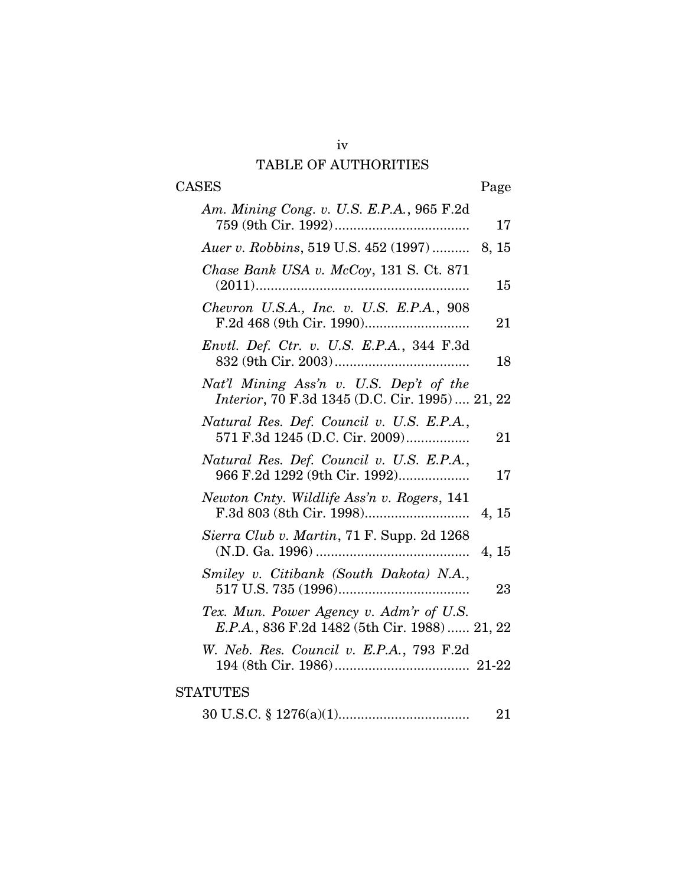# iv TABLE OF AUTHORITIES

# CASES Page

| Am. Mining Cong. v. U.S. E.P.A., 965 F.2d                                                  | 17    |
|--------------------------------------------------------------------------------------------|-------|
| Auer v. Robbins, 519 U.S. 452 (1997)  8, 15                                                |       |
| Chase Bank USA v. McCoy, 131 S. Ct. 871                                                    | 15    |
| Chevron U.S.A., Inc. v. U.S. E.P.A., 908                                                   | 21    |
| Envtl. Def. Ctr. v. U.S. E.P.A., 344 F.3d                                                  | 18    |
| Nat'l Mining Ass'n v. U.S. Dep't of the<br>Interior, 70 F.3d 1345 (D.C. Cir. 1995)  21, 22 |       |
| Natural Res. Def. Council v. U.S. E.P.A.,<br>571 F.3d 1245 (D.C. Cir. 2009)                | 21    |
| Natural Res. Def. Council v. U.S. E.P.A.,<br>966 F.2d 1292 (9th Cir. 1992)                 | 17    |
| Newton Cnty. Wildlife Ass'n v. Rogers, 141                                                 | 4, 15 |
| Sierra Club v. Martin, 71 F. Supp. 2d 1268                                                 | 4, 15 |
| Smiley v. Citibank (South Dakota) N.A.,                                                    | 23    |
| Tex. Mun. Power Agency v. Adm'r of U.S.<br>E.P.A., 836 F.2d 1482 (5th Cir. 1988)  21, 22   |       |
| W. Neb. Res. Council v. E.P.A., 793 F.2d                                                   |       |
| <b>STATUTES</b>                                                                            |       |
|                                                                                            | 21    |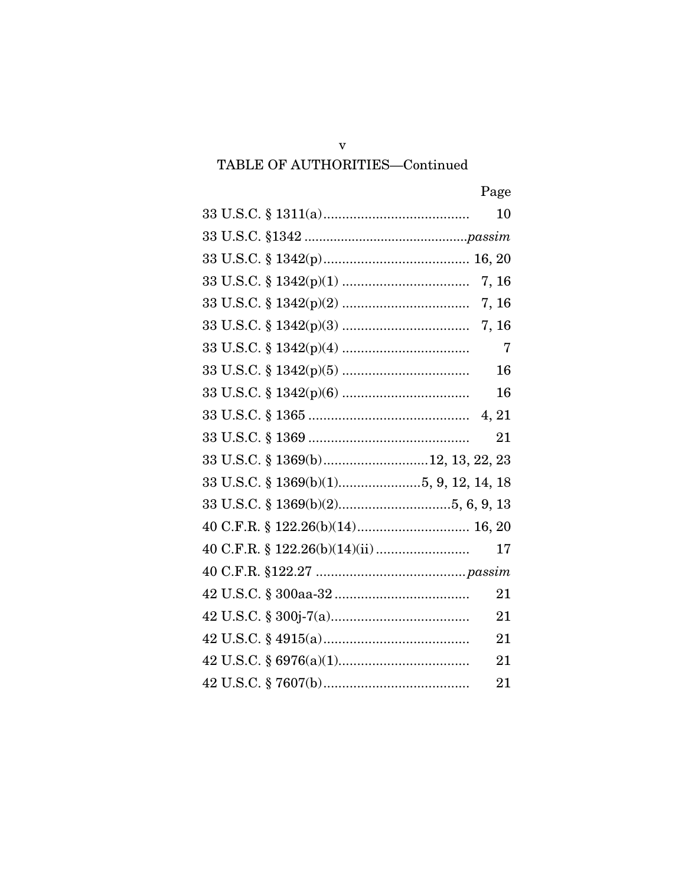# TABLE OF AUTHORITIES-Continued

|                                   | 10             |
|-----------------------------------|----------------|
|                                   |                |
|                                   |                |
|                                   |                |
|                                   |                |
|                                   |                |
|                                   | $\overline{7}$ |
|                                   | 16             |
|                                   | 16             |
|                                   |                |
|                                   | 21             |
| 33 U.S.C. § 1369(b)12, 13, 22, 23 |                |
|                                   |                |
|                                   |                |
|                                   |                |
|                                   | 17             |
|                                   |                |
|                                   | 21             |
|                                   | 21             |
|                                   | 21             |
|                                   | 21             |
|                                   | 21             |

 $\mathbf{V}$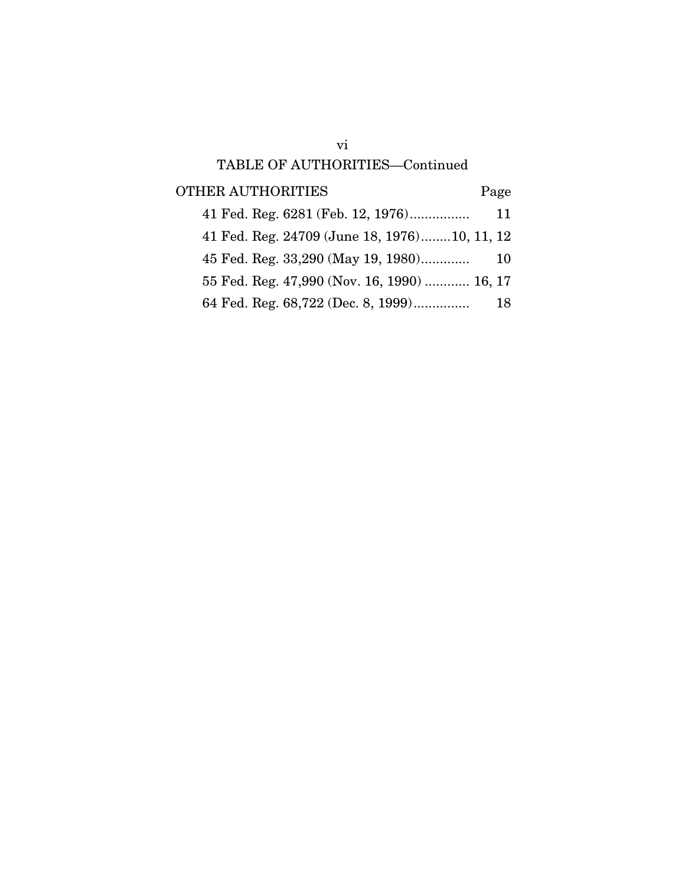# vi TABLE OF AUTHORITIES—Continued

OTHER AUTHORITIES Page

| 41 Fed. Reg. 6281 (Feb. 12, 1976)            | 11 |
|----------------------------------------------|----|
| 41 Fed. Reg. 24709 (June 18, 1976)10, 11, 12 |    |
| 45 Fed. Reg. 33,290 (May 19, 1980)           | 10 |
| 55 Fed. Reg. 47,990 (Nov. 16, 1990)  16, 17  |    |
| 64 Fed. Reg. 68,722 (Dec. 8, 1999)           | 18 |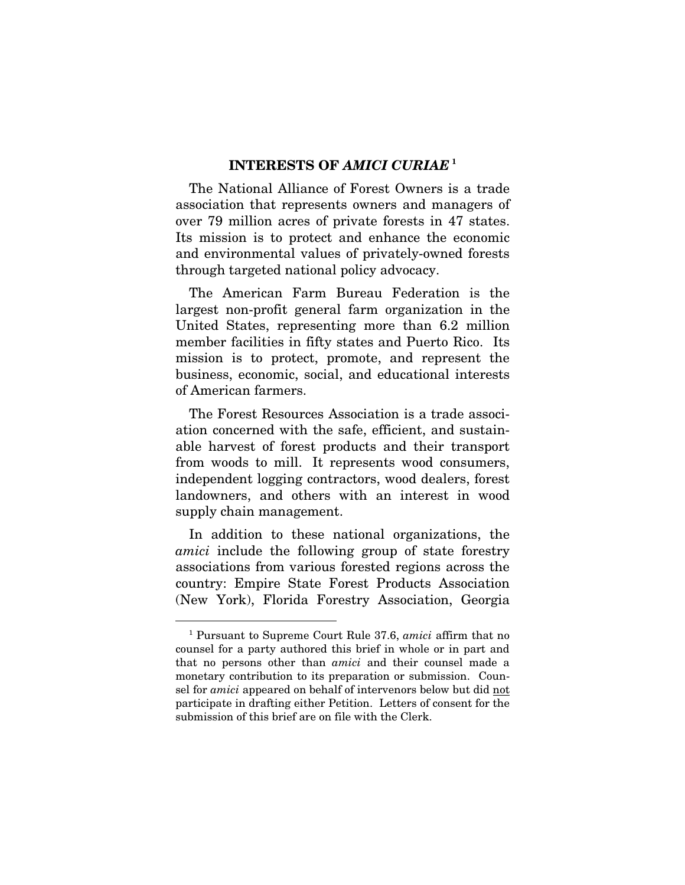### **INTERESTS OF** *AMICI CURIAE* **[1](#page-7-0)**

The National Alliance of Forest Owners is a trade association that represents owners and managers of over 79 million acres of private forests in 47 states. Its mission is to protect and enhance the economic and environmental values of privately-owned forests through targeted national policy advocacy.

The American Farm Bureau Federation is the largest non-profit general farm organization in the United States, representing more than 6.2 million member facilities in fifty states and Puerto Rico. Its mission is to protect, promote, and represent the business, economic, social, and educational interests of American farmers.

The Forest Resources Association is a trade association concerned with the safe, efficient, and sustainable harvest of forest products and their transport from woods to mill. It represents wood consumers, independent logging contractors, wood dealers, forest landowners, and others with an interest in wood supply chain management.

In addition to these national organizations, the *amici* include the following group of state forestry associations from various forested regions across the country: Empire State Forest Products Association (New York), Florida Forestry Association, Georgia

<span id="page-7-0"></span> <sup>1</sup> Pursuant to Supreme Court Rule 37.6, *amici* affirm that no counsel for a party authored this brief in whole or in part and that no persons other than *amici* and their counsel made a monetary contribution to its preparation or submission. Counsel for *amici* appeared on behalf of intervenors below but did not participate in drafting either Petition. Letters of consent for the submission of this brief are on file with the Clerk.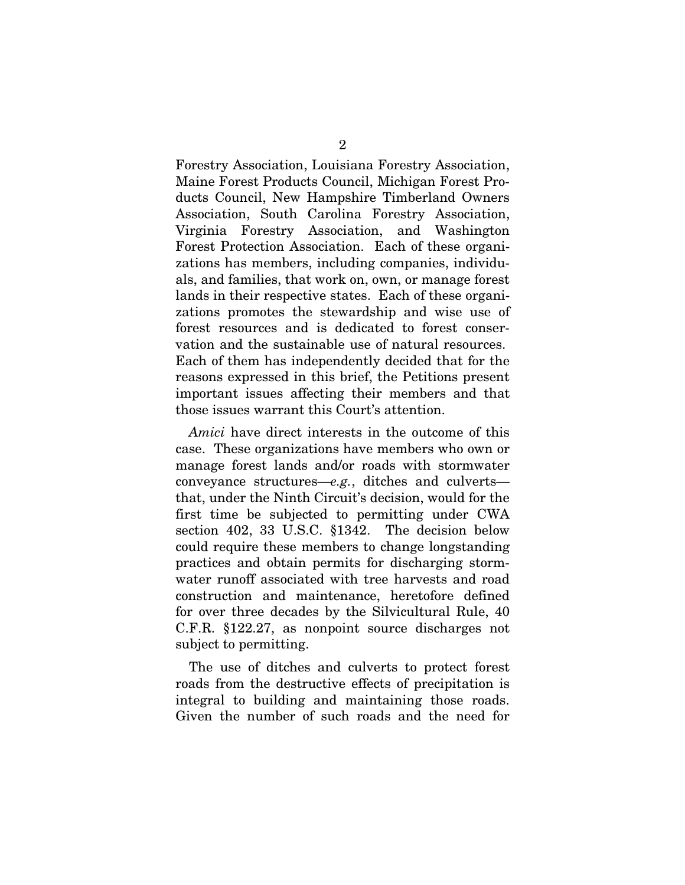Forestry Association, Louisiana Forestry Association, Maine Forest Products Council, Michigan Forest Products Council, New Hampshire Timberland Owners Association, South Carolina Forestry Association, Virginia Forestry Association, and Washington Forest Protection Association. Each of these organizations has members, including companies, individuals, and families, that work on, own, or manage forest lands in their respective states. Each of these organizations promotes the stewardship and wise use of forest resources and is dedicated to forest conservation and the sustainable use of natural resources. Each of them has independently decided that for the reasons expressed in this brief, the Petitions present important issues affecting their members and that those issues warrant this Court's attention.

*Amici* have direct interests in the outcome of this case. These organizations have members who own or manage forest lands and/or roads with stormwater conveyance structures—*e.g.*, ditches and culverts that, under the Ninth Circuit's decision, would for the first time be subjected to permitting under CWA section 402, 33 U.S.C. §1342. The decision below could require these members to change longstanding practices and obtain permits for discharging stormwater runoff associated with tree harvests and road construction and maintenance, heretofore defined for over three decades by the Silvicultural Rule, 40 C.F.R. §122.27, as nonpoint source discharges not subject to permitting.

The use of ditches and culverts to protect forest roads from the destructive effects of precipitation is integral to building and maintaining those roads. Given the number of such roads and the need for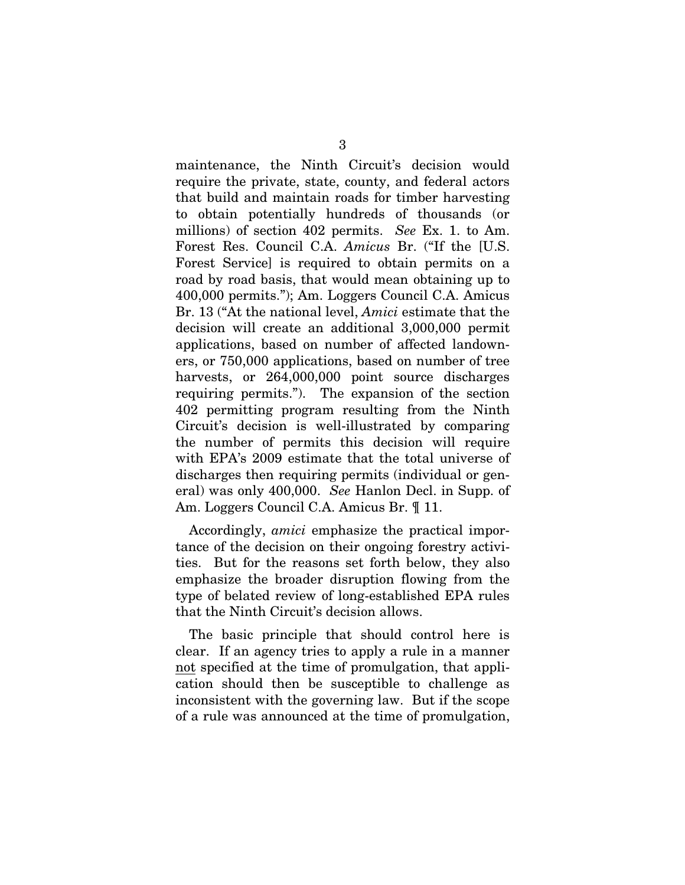maintenance, the Ninth Circuit's decision would require the private, state, county, and federal actors that build and maintain roads for timber harvesting to obtain potentially hundreds of thousands (or millions) of section 402 permits. *See* Ex. 1. to Am. Forest Res. Council C.A. *Amicus* Br. ("If the [U.S. Forest Service] is required to obtain permits on a road by road basis, that would mean obtaining up to 400,000 permits."); Am. Loggers Council C.A. Amicus Br. 13 ("At the national level, *Amici* estimate that the decision will create an additional 3,000,000 permit applications, based on number of affected landowners, or 750,000 applications, based on number of tree harvests, or  $264,000,000$  point source discharges requiring permits."). The expansion of the section 402 permitting program resulting from the Ninth Circuit's decision is well-illustrated by comparing the number of permits this decision will require with EPA's 2009 estimate that the total universe of discharges then requiring permits (individual or general) was only 400,000. *See* Hanlon Decl. in Supp. of Am. Loggers Council C.A. Amicus Br. ¶ 11.

Accordingly, *amici* emphasize the practical importance of the decision on their ongoing forestry activities. But for the reasons set forth below, they also emphasize the broader disruption flowing from the type of belated review of long-established EPA rules that the Ninth Circuit's decision allows.

The basic principle that should control here is clear. If an agency tries to apply a rule in a manner not specified at the time of promulgation, that application should then be susceptible to challenge as inconsistent with the governing law. But if the scope of a rule was announced at the time of promulgation,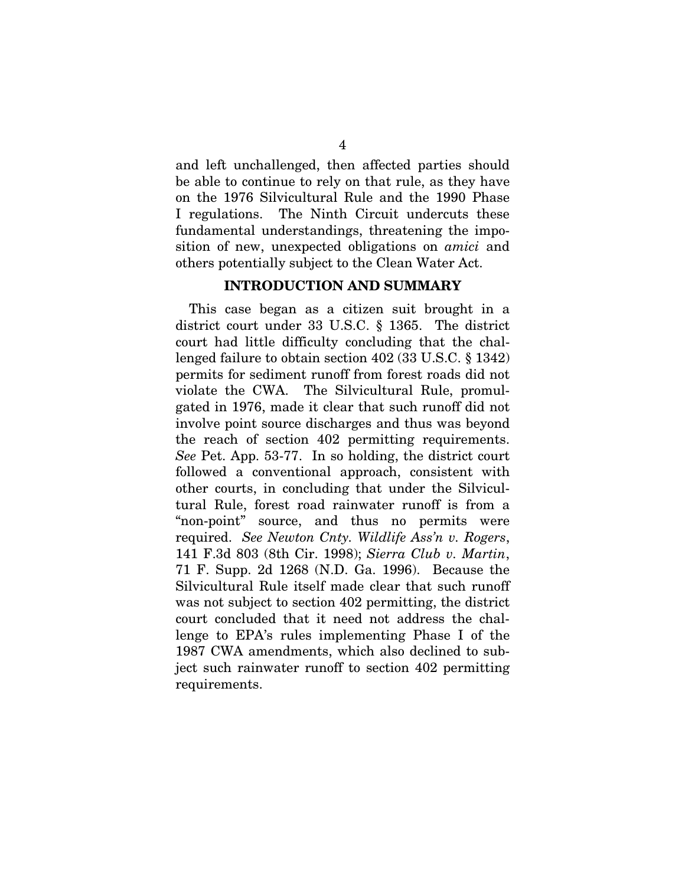and left unchallenged, then affected parties should be able to continue to rely on that rule, as they have on the 1976 Silvicultural Rule and the 1990 Phase I regulations. The Ninth Circuit undercuts these fundamental understandings, threatening the imposition of new, unexpected obligations on *amici* and others potentially subject to the Clean Water Act.

### **INTRODUCTION AND SUMMARY**

This case began as a citizen suit brought in a district court under 33 U.S.C. § 1365. The district court had little difficulty concluding that the challenged failure to obtain section 402 (33 U.S.C. § 1342) permits for sediment runoff from forest roads did not violate the CWA. The Silvicultural Rule, promulgated in 1976, made it clear that such runoff did not involve point source discharges and thus was beyond the reach of section 402 permitting requirements. *See* Pet. App. 53-77. In so holding, the district court followed a conventional approach, consistent with other courts, in concluding that under the Silvicultural Rule, forest road rainwater runoff is from a "non-point" source, and thus no permits were required. *See Newton Cnty. Wildlife Ass'n v. Rogers*, 141 F.3d 803 (8th Cir. 1998); *Sierra Club v. Martin*, 71 F. Supp. 2d 1268 (N.D. Ga. 1996). Because the Silvicultural Rule itself made clear that such runoff was not subject to section 402 permitting, the district court concluded that it need not address the challenge to EPA's rules implementing Phase I of the 1987 CWA amendments, which also declined to subject such rainwater runoff to section 402 permitting requirements.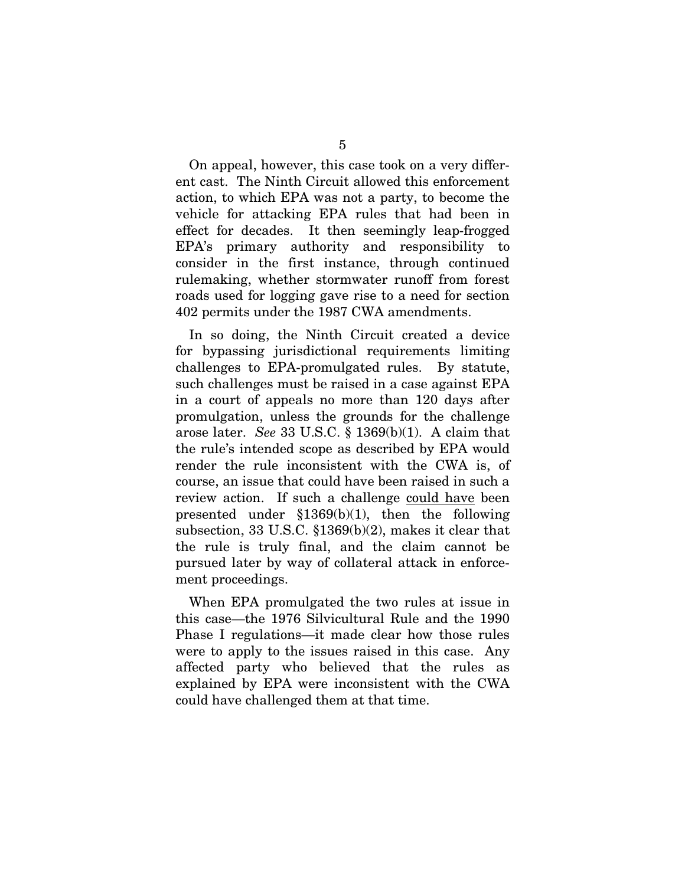On appeal, however, this case took on a very different cast. The Ninth Circuit allowed this enforcement action, to which EPA was not a party, to become the vehicle for attacking EPA rules that had been in effect for decades. It then seemingly leap-frogged EPA's primary authority and responsibility to consider in the first instance, through continued rulemaking, whether stormwater runoff from forest roads used for logging gave rise to a need for section 402 permits under the 1987 CWA amendments.

In so doing, the Ninth Circuit created a device for bypassing jurisdictional requirements limiting challenges to EPA-promulgated rules. By statute, such challenges must be raised in a case against EPA in a court of appeals no more than 120 days after promulgation, unless the grounds for the challenge arose later. *See* 33 U.S.C. § 1369(b)(1). A claim that the rule's intended scope as described by EPA would render the rule inconsistent with the CWA is, of course, an issue that could have been raised in such a review action. If such a challenge could have been presented under  $$1369(b)(1)$ , then the following subsection, 33 U.S.C. §1369(b)(2), makes it clear that the rule is truly final, and the claim cannot be pursued later by way of collateral attack in enforcement proceedings.

When EPA promulgated the two rules at issue in this case—the 1976 Silvicultural Rule and the 1990 Phase I regulations—it made clear how those rules were to apply to the issues raised in this case. Any affected party who believed that the rules as explained by EPA were inconsistent with the CWA could have challenged them at that time.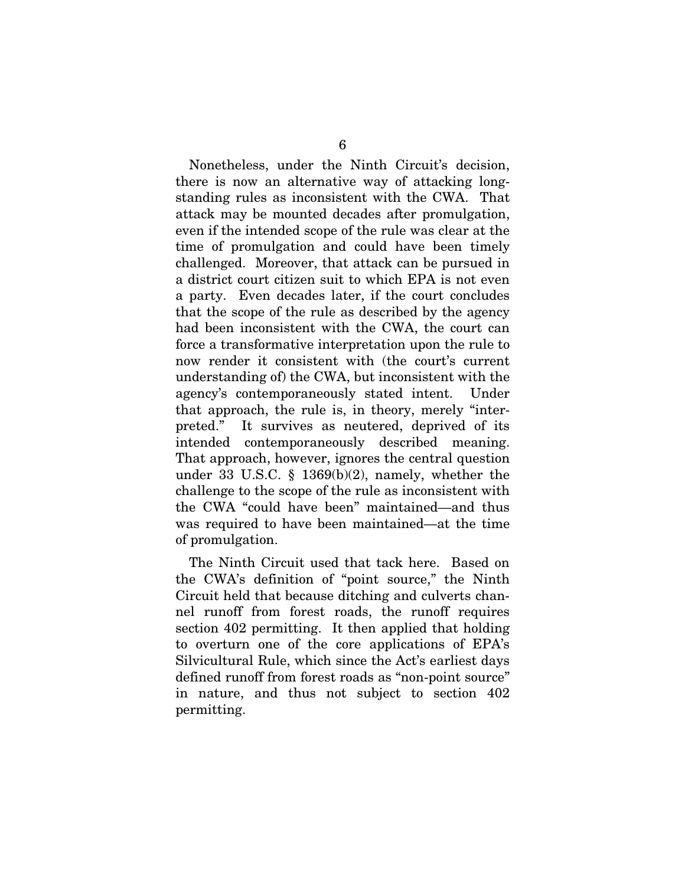Nonetheless, under the Ninth Circuit's decision, there is now an alternative way of attacking longstanding rules as inconsistent with the CWA. That attack may be mounted decades after promulgation, even if the intended scope of the rule was clear at the time of promulgation and could have been timely challenged. Moreover, that attack can be pursued in a district court citizen suit to which EPA is not even a party. Even decades later, if the court concludes that the scope of the rule as described by the agency had been inconsistent with the CWA, the court can force a transformative interpretation upon the rule to now render it consistent with (the court's current understanding of) the CWA, but inconsistent with the agency's contemporaneously stated intent. Under that approach, the rule is, in theory, merely "interpreted." It survives as neutered, deprived of its intended contemporaneously described meaning. That approach, however, ignores the central question under 33 U.S.C. § 1369(b)(2), namely, whether the challenge to the scope of the rule as inconsistent with the CWA "could have been" maintained—and thus was required to have been maintained—at the time of promulgation.

The Ninth Circuit used that tack here. Based on the CWA's definition of "point source," the Ninth Circuit held that because ditching and culverts channel runoff from forest roads, the runoff requires section 402 permitting. It then applied that holding to overturn one of the core applications of EPA's Silvicultural Rule, which since the Act's earliest days defined runoff from forest roads as "non-point source" in nature, and thus not subject to section 402 permitting.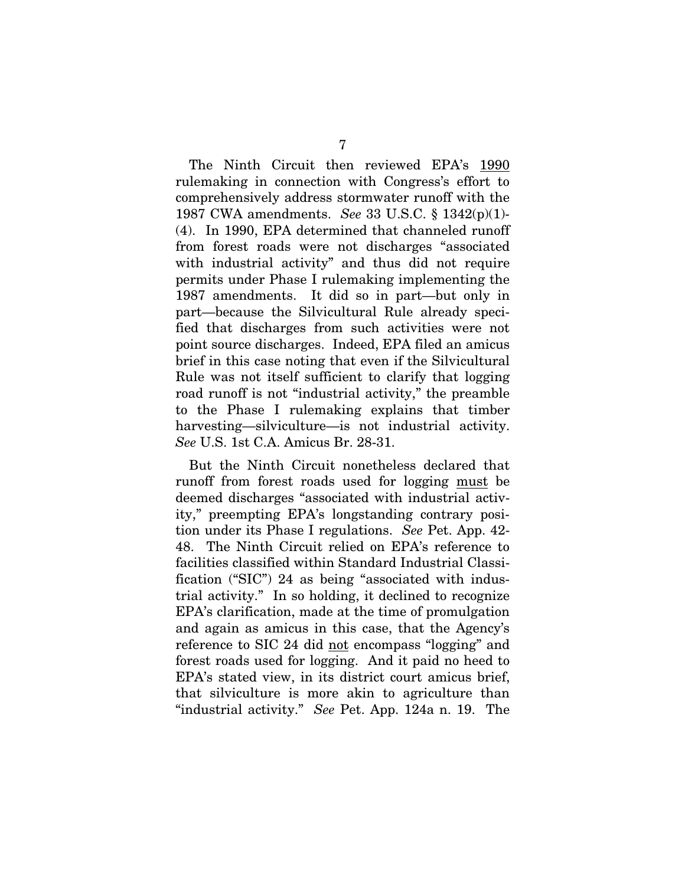The Ninth Circuit then reviewed EPA's 1990 rulemaking in connection with Congress's effort to comprehensively address stormwater runoff with the 1987 CWA amendments. *See* 33 U.S.C. § 1342(p)(1)- (4). In 1990, EPA determined that channeled runoff from forest roads were not discharges "associated with industrial activity" and thus did not require permits under Phase I rulemaking implementing the 1987 amendments. It did so in part—but only in part—because the Silvicultural Rule already specified that discharges from such activities were not point source discharges. Indeed, EPA filed an amicus brief in this case noting that even if the Silvicultural Rule was not itself sufficient to clarify that logging road runoff is not "industrial activity," the preamble to the Phase I rulemaking explains that timber harvesting—silviculture—is not industrial activity. *See* U.S. 1st C.A. Amicus Br. 28-31.

But the Ninth Circuit nonetheless declared that runoff from forest roads used for logging must be deemed discharges "associated with industrial activity," preempting EPA's longstanding contrary position under its Phase I regulations. *See* Pet. App. 42- 48. The Ninth Circuit relied on EPA's reference to facilities classified within Standard Industrial Classification ("SIC") 24 as being "associated with industrial activity." In so holding, it declined to recognize EPA's clarification, made at the time of promulgation and again as amicus in this case, that the Agency's reference to SIC 24 did not encompass "logging" and forest roads used for logging. And it paid no heed to EPA's stated view, in its district court amicus brief, that silviculture is more akin to agriculture than "industrial activity." *See* Pet. App. 124a n. 19. The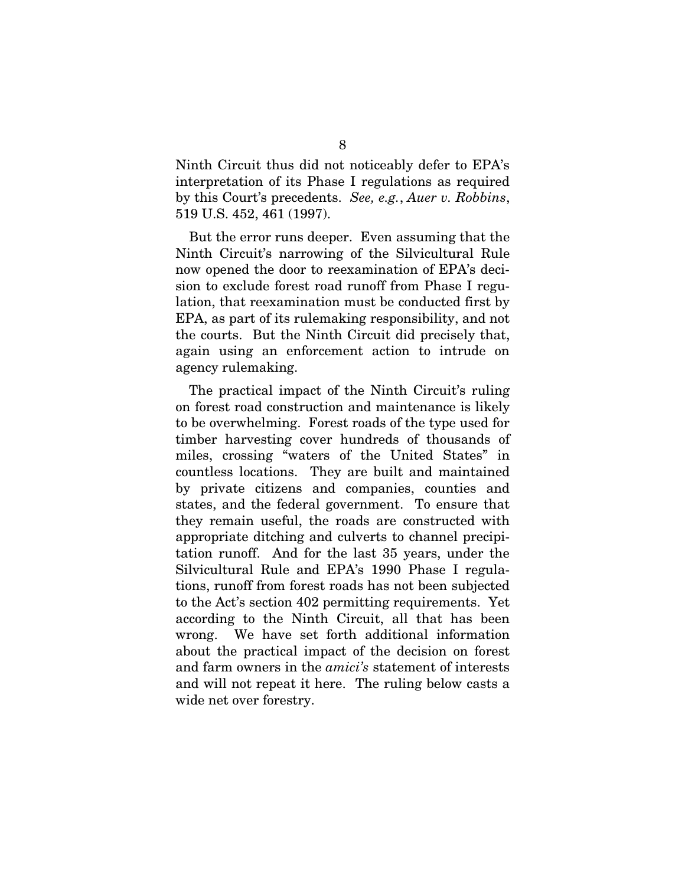Ninth Circuit thus did not noticeably defer to EPA's interpretation of its Phase I regulations as required by this Court's precedents. *See, e.g.*, *Auer v. Robbins*, 519 U.S. 452, 461 (1997).

But the error runs deeper. Even assuming that the Ninth Circuit's narrowing of the Silvicultural Rule now opened the door to reexamination of EPA's decision to exclude forest road runoff from Phase I regulation, that reexamination must be conducted first by EPA, as part of its rulemaking responsibility, and not the courts. But the Ninth Circuit did precisely that, again using an enforcement action to intrude on agency rulemaking.

The practical impact of the Ninth Circuit's ruling on forest road construction and maintenance is likely to be overwhelming. Forest roads of the type used for timber harvesting cover hundreds of thousands of miles, crossing "waters of the United States" in countless locations. They are built and maintained by private citizens and companies, counties and states, and the federal government. To ensure that they remain useful, the roads are constructed with appropriate ditching and culverts to channel precipitation runoff. And for the last 35 years, under the Silvicultural Rule and EPA's 1990 Phase I regulations, runoff from forest roads has not been subjected to the Act's section 402 permitting requirements. Yet according to the Ninth Circuit, all that has been wrong. We have set forth additional information about the practical impact of the decision on forest and farm owners in the *amici's* statement of interests and will not repeat it here. The ruling below casts a wide net over forestry.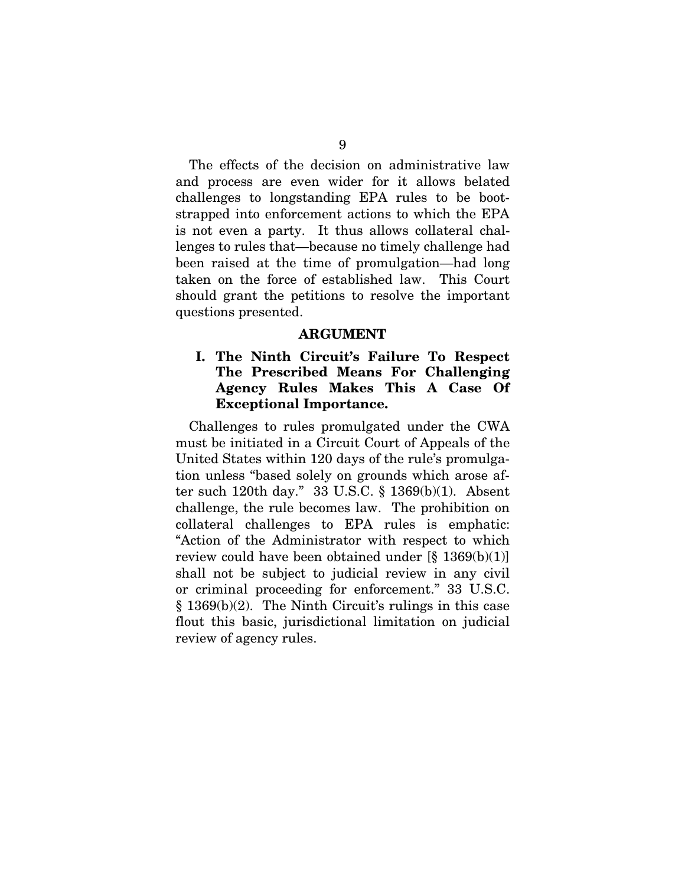The effects of the decision on administrative law and process are even wider for it allows belated challenges to longstanding EPA rules to be bootstrapped into enforcement actions to which the EPA is not even a party. It thus allows collateral challenges to rules that—because no timely challenge had been raised at the time of promulgation—had long taken on the force of established law. This Court should grant the petitions to resolve the important questions presented.

### **ARGUMENT**

### **I. The Ninth Circuit's Failure To Respect The Prescribed Means For Challenging Agency Rules Makes This A Case Of Exceptional Importance.**

Challenges to rules promulgated under the CWA must be initiated in a Circuit Court of Appeals of the United States within 120 days of the rule's promulgation unless "based solely on grounds which arose after such 120th day." 33 U.S.C. § 1369(b)(1). Absent challenge, the rule becomes law. The prohibition on collateral challenges to EPA rules is emphatic: "Action of the Administrator with respect to which review could have been obtained under  $[\S 1369(b)(1)]$ shall not be subject to judicial review in any civil or criminal proceeding for enforcement." 33 U.S.C. § 1369(b)(2). The Ninth Circuit's rulings in this case flout this basic, jurisdictional limitation on judicial review of agency rules.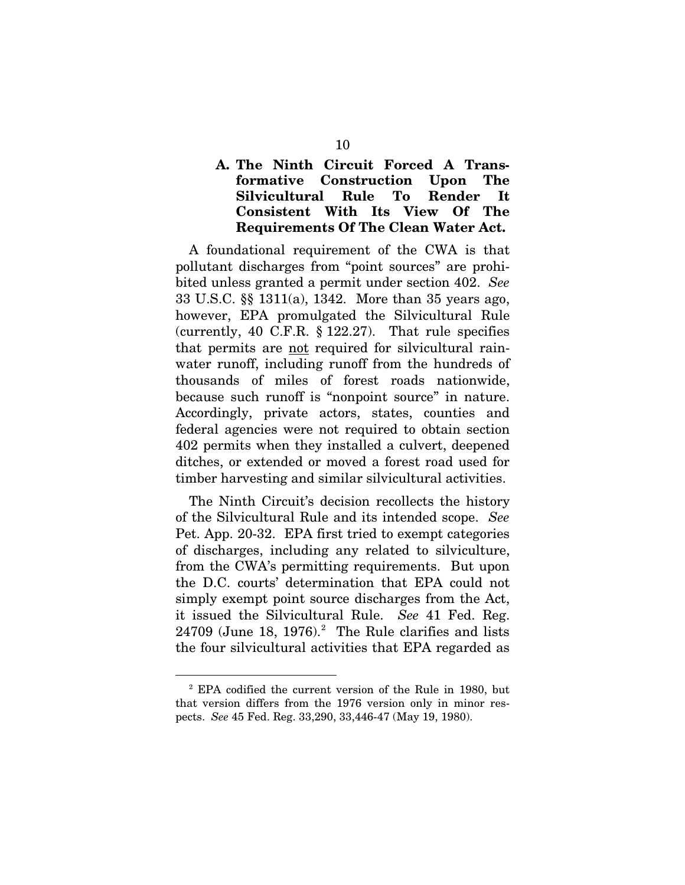### **A. The Ninth Circuit Forced A Transformative Construction Upon The Silvicultural Rule To Render It Consistent With Its View Of The Requirements Of The Clean Water Act.**

A foundational requirement of the CWA is that pollutant discharges from "point sources" are prohibited unless granted a permit under section 402. *See* 33 U.S.C. §§ 1311(a), 1342. More than 35 years ago, however, EPA promulgated the Silvicultural Rule (currently, 40 C.F.R. § 122.27). That rule specifies that permits are not required for silvicultural rainwater runoff, including runoff from the hundreds of thousands of miles of forest roads nationwide, because such runoff is "nonpoint source" in nature. Accordingly, private actors, states, counties and federal agencies were not required to obtain section 402 permits when they installed a culvert, deepened ditches, or extended or moved a forest road used for timber harvesting and similar silvicultural activities.

The Ninth Circuit's decision recollects the history of the Silvicultural Rule and its intended scope. *See* Pet. App. 20-32. EPA first tried to exempt categories of discharges, including any related to silviculture, from the CWA's permitting requirements. But upon the D.C. courts' determination that EPA could not simply exempt point source discharges from the Act, it issued the Silvicultural Rule. *See* 41 Fed. Reg.  $24709$  $24709$  (June 18, 1976).<sup>2</sup> The Rule clarifies and lists the four silvicultural activities that EPA regarded as

<span id="page-16-0"></span> <sup>2</sup> EPA codified the current version of the Rule in 1980, but that version differs from the 1976 version only in minor respects. *See* 45 Fed. Reg. 33,290, 33,446-47 (May 19, 1980).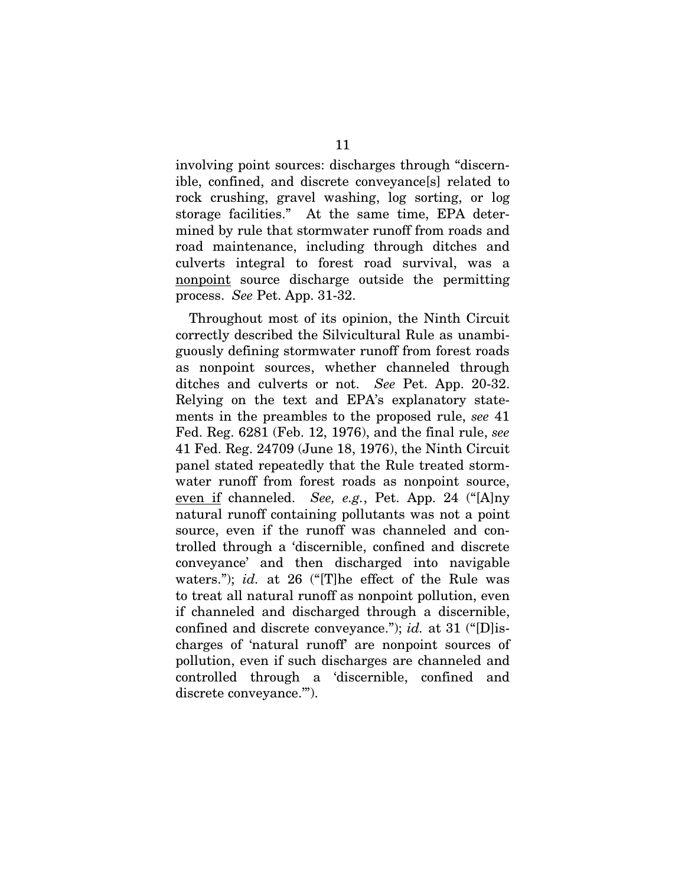involving point sources: discharges through "discernible, confined, and discrete conveyance[s] related to rock crushing, gravel washing, log sorting, or log storage facilities." At the same time, EPA determined by rule that stormwater runoff from roads and road maintenance, including through ditches and culverts integral to forest road survival, was a nonpoint source discharge outside the permitting process. *See* Pet. App. 31-32.

Throughout most of its opinion, the Ninth Circuit correctly described the Silvicultural Rule as unambiguously defining stormwater runoff from forest roads as nonpoint sources, whether channeled through ditches and culverts or not. *See* Pet. App. 20-32. Relying on the text and EPA's explanatory statements in the preambles to the proposed rule, *see* 41 Fed. Reg. 6281 (Feb. 12, 1976), and the final rule, *see* 41 Fed. Reg. 24709 (June 18, 1976), the Ninth Circuit panel stated repeatedly that the Rule treated stormwater runoff from forest roads as nonpoint source, even if channeled. *See, e.g.*, Pet. App. 24 ("[A]ny natural runoff containing pollutants was not a point source, even if the runoff was channeled and controlled through a 'discernible, confined and discrete conveyance' and then discharged into navigable waters."); *id.* at 26 ("[T]he effect of the Rule was to treat all natural runoff as nonpoint pollution, even if channeled and discharged through a discernible, confined and discrete conveyance."); *id.* at 31 ("[D]ischarges of 'natural runoff' are nonpoint sources of pollution, even if such discharges are channeled and controlled through a 'discernible, confined and discrete conveyance.'").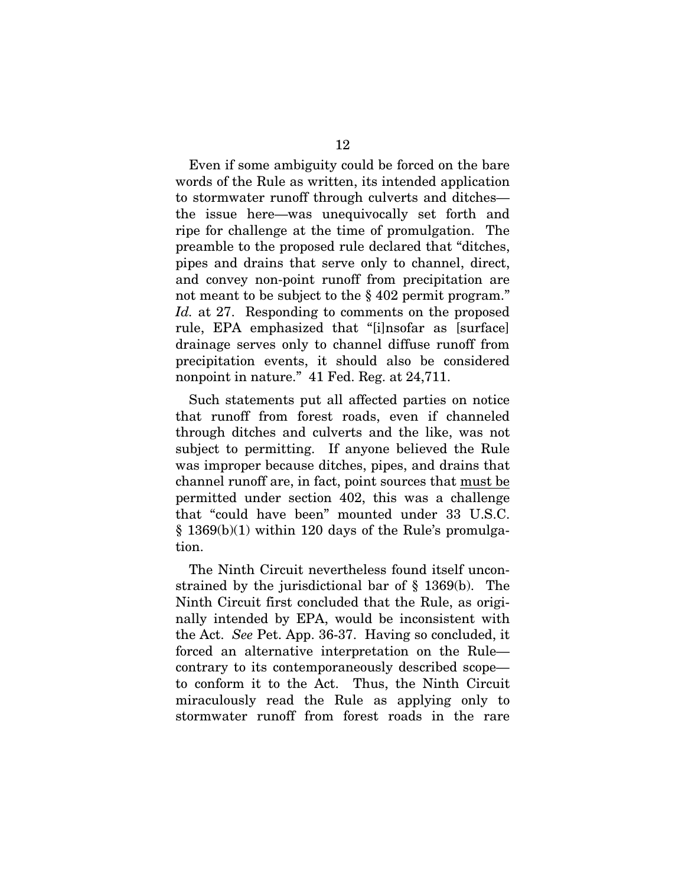Even if some ambiguity could be forced on the bare words of the Rule as written, its intended application to stormwater runoff through culverts and ditches the issue here—was unequivocally set forth and ripe for challenge at the time of promulgation. The preamble to the proposed rule declared that "ditches, pipes and drains that serve only to channel, direct, and convey non-point runoff from precipitation are not meant to be subject to the § 402 permit program." *Id.* at 27. Responding to comments on the proposed rule, EPA emphasized that "[i]nsofar as [surface] drainage serves only to channel diffuse runoff from precipitation events, it should also be considered nonpoint in nature." 41 Fed. Reg. at 24,711.

Such statements put all affected parties on notice that runoff from forest roads, even if channeled through ditches and culverts and the like, was not subject to permitting. If anyone believed the Rule was improper because ditches, pipes, and drains that channel runoff are, in fact, point sources that must be permitted under section 402, this was a challenge that "could have been" mounted under 33 U.S.C.  $\S$  1369(b)(1) within 120 days of the Rule's promulgation.

The Ninth Circuit nevertheless found itself unconstrained by the jurisdictional bar of § 1369(b). The Ninth Circuit first concluded that the Rule, as originally intended by EPA, would be inconsistent with the Act. *See* Pet. App. 36-37. Having so concluded, it forced an alternative interpretation on the Rule contrary to its contemporaneously described scope to conform it to the Act. Thus, the Ninth Circuit miraculously read the Rule as applying only to stormwater runoff from forest roads in the rare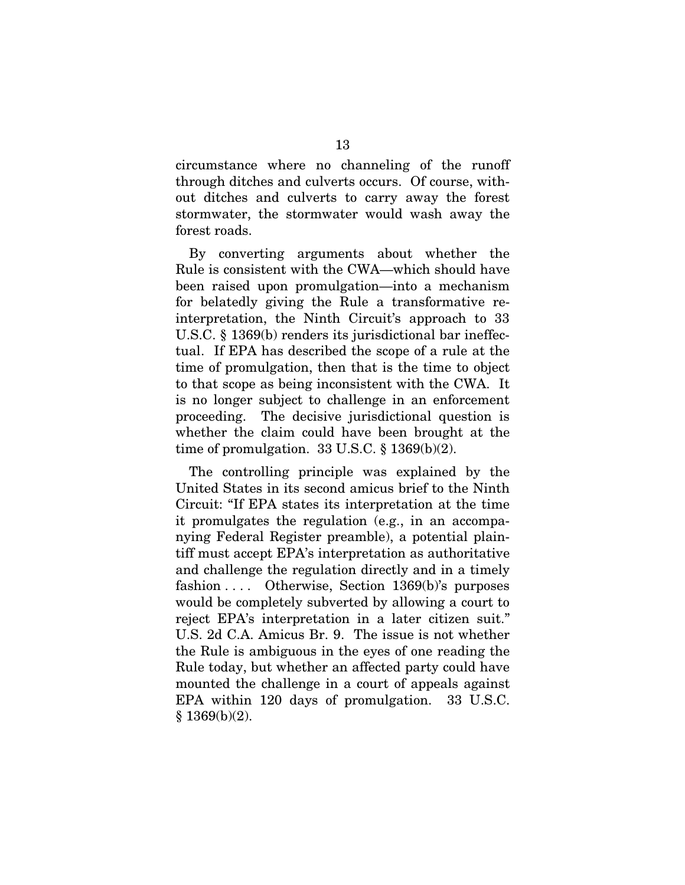circumstance where no channeling of the runoff through ditches and culverts occurs. Of course, without ditches and culverts to carry away the forest stormwater, the stormwater would wash away the forest roads.

By converting arguments about whether the Rule is consistent with the CWA—which should have been raised upon promulgation—into a mechanism for belatedly giving the Rule a transformative reinterpretation, the Ninth Circuit's approach to 33 U.S.C. § 1369(b) renders its jurisdictional bar ineffectual. If EPA has described the scope of a rule at the time of promulgation, then that is the time to object to that scope as being inconsistent with the CWA. It is no longer subject to challenge in an enforcement proceeding. The decisive jurisdictional question is whether the claim could have been brought at the time of promulgation.  $33 \text{ U.S.C.} \$   $1369(b)(2)$ .

The controlling principle was explained by the United States in its second amicus brief to the Ninth Circuit: "If EPA states its interpretation at the time it promulgates the regulation (e.g., in an accompanying Federal Register preamble), a potential plaintiff must accept EPA's interpretation as authoritative and challenge the regulation directly and in a timely fashion . . . . Otherwise, Section 1369(b)'s purposes would be completely subverted by allowing a court to reject EPA's interpretation in a later citizen suit." U.S. 2d C.A. Amicus Br. 9. The issue is not whether the Rule is ambiguous in the eyes of one reading the Rule today, but whether an affected party could have mounted the challenge in a court of appeals against EPA within 120 days of promulgation. 33 U.S.C. § 1369(b)(2).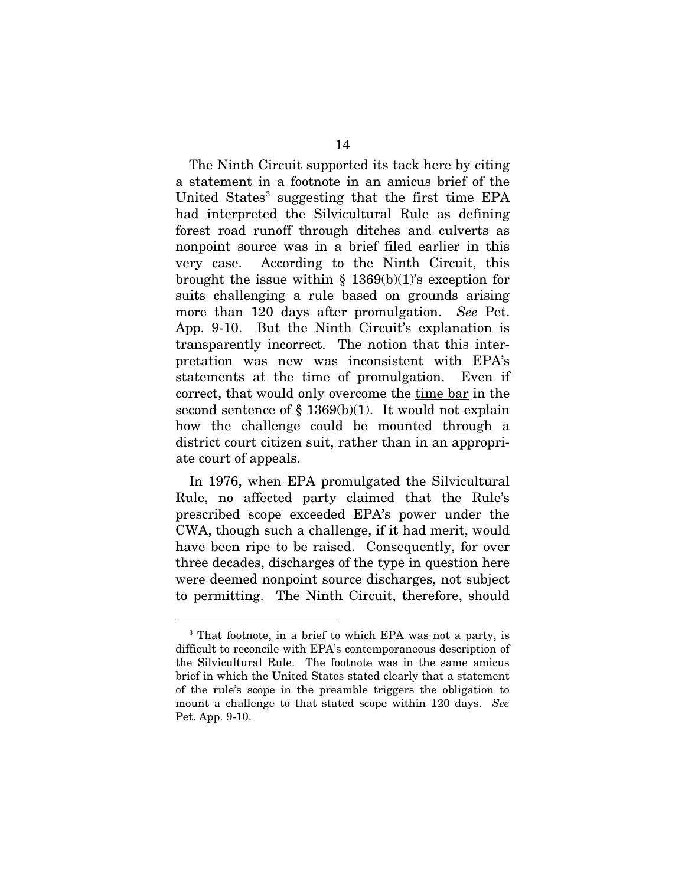The Ninth Circuit supported its tack here by citing a statement in a footnote in an amicus brief of the United States<sup>[3](#page-20-0)</sup> suggesting that the first time EPA had interpreted the Silvicultural Rule as defining forest road runoff through ditches and culverts as nonpoint source was in a brief filed earlier in this very case. According to the Ninth Circuit, this brought the issue within  $\S$  1369(b)(1)'s exception for suits challenging a rule based on grounds arising more than 120 days after promulgation. *See* Pet. App. 9-10. But the Ninth Circuit's explanation is transparently incorrect. The notion that this interpretation was new was inconsistent with EPA's statements at the time of promulgation. Even if correct, that would only overcome the time bar in the second sentence of  $\S$  1369(b)(1). It would not explain how the challenge could be mounted through a district court citizen suit, rather than in an appropriate court of appeals.

In 1976, when EPA promulgated the Silvicultural Rule, no affected party claimed that the Rule's prescribed scope exceeded EPA's power under the CWA, though such a challenge, if it had merit, would have been ripe to be raised. Consequently, for over three decades, discharges of the type in question here were deemed nonpoint source discharges, not subject to permitting. The Ninth Circuit, therefore, should

<span id="page-20-0"></span><sup>&</sup>lt;sup>3</sup> That footnote, in a brief to which EPA was not a party, is difficult to reconcile with EPA's contemporaneous description of the Silvicultural Rule. The footnote was in the same amicus brief in which the United States stated clearly that a statement of the rule's scope in the preamble triggers the obligation to mount a challenge to that stated scope within 120 days. *See*  Pet. App. 9-10.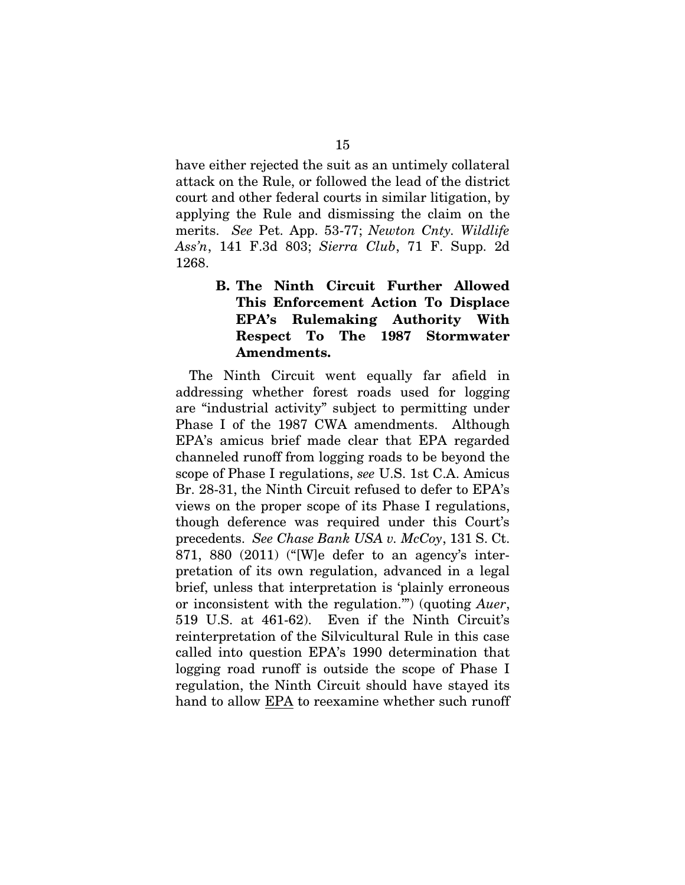have either rejected the suit as an untimely collateral attack on the Rule, or followed the lead of the district court and other federal courts in similar litigation, by applying the Rule and dismissing the claim on the merits. *See* Pet. App. 53-77; *Newton Cnty. Wildlife Ass'n*, 141 F.3d 803; *Sierra Club*, 71 F. Supp. 2d 1268.

### **B. The Ninth Circuit Further Allowed This Enforcement Action To Displace EPA's Rulemaking Authority With Respect To The 1987 Stormwater Amendments.**

The Ninth Circuit went equally far afield in addressing whether forest roads used for logging are "industrial activity" subject to permitting under Phase I of the 1987 CWA amendments. Although EPA's amicus brief made clear that EPA regarded channeled runoff from logging roads to be beyond the scope of Phase I regulations, *see* U.S. 1st C.A. Amicus Br. 28-31, the Ninth Circuit refused to defer to EPA's views on the proper scope of its Phase I regulations, though deference was required under this Court's precedents. *See Chase Bank USA v. McCoy*, 131 S. Ct. 871, 880 (2011) ("[W]e defer to an agency's interpretation of its own regulation, advanced in a legal brief, unless that interpretation is 'plainly erroneous or inconsistent with the regulation.'") (quoting *Auer*, 519 U.S. at 461-62). Even if the Ninth Circuit's reinterpretation of the Silvicultural Rule in this case called into question EPA's 1990 determination that logging road runoff is outside the scope of Phase I regulation, the Ninth Circuit should have stayed its hand to allow EPA to reexamine whether such runoff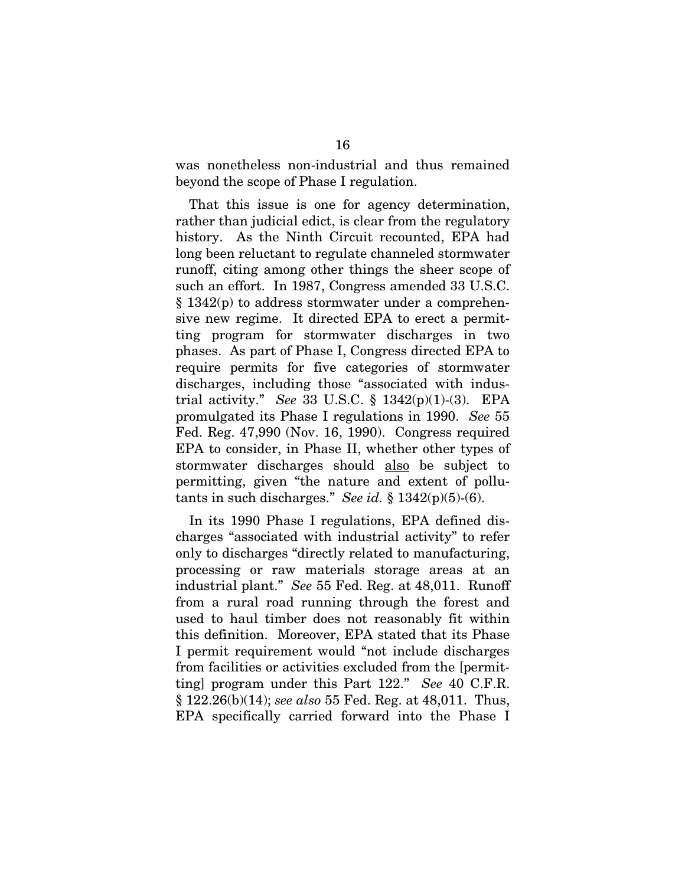was nonetheless non-industrial and thus remained beyond the scope of Phase I regulation.

That this issue is one for agency determination, rather than judicial edict, is clear from the regulatory history. As the Ninth Circuit recounted, EPA had long been reluctant to regulate channeled stormwater runoff, citing among other things the sheer scope of such an effort. In 1987, Congress amended 33 U.S.C. § 1342(p) to address stormwater under a comprehensive new regime. It directed EPA to erect a permitting program for stormwater discharges in two phases. As part of Phase I, Congress directed EPA to require permits for five categories of stormwater discharges, including those "associated with industrial activity." *See* 33 U.S.C. § 1342(p)(1)-(3). EPA promulgated its Phase I regulations in 1990. *See* 55 Fed. Reg. 47,990 (Nov. 16, 1990). Congress required EPA to consider, in Phase II, whether other types of stormwater discharges should also be subject to permitting, given "the nature and extent of pollutants in such discharges." *See id.* § 1342(p)(5)-(6).

In its 1990 Phase I regulations, EPA defined discharges "associated with industrial activity" to refer only to discharges "directly related to manufacturing, processing or raw materials storage areas at an industrial plant." *See* 55 Fed. Reg. at 48,011. Runoff from a rural road running through the forest and used to haul timber does not reasonably fit within this definition. Moreover, EPA stated that its Phase I permit requirement would "not include discharges from facilities or activities excluded from the [permitting] program under this Part 122." *See* 40 C.F.R. § 122.26(b)(14); *see also* 55 Fed. Reg. at 48,011. Thus, EPA specifically carried forward into the Phase I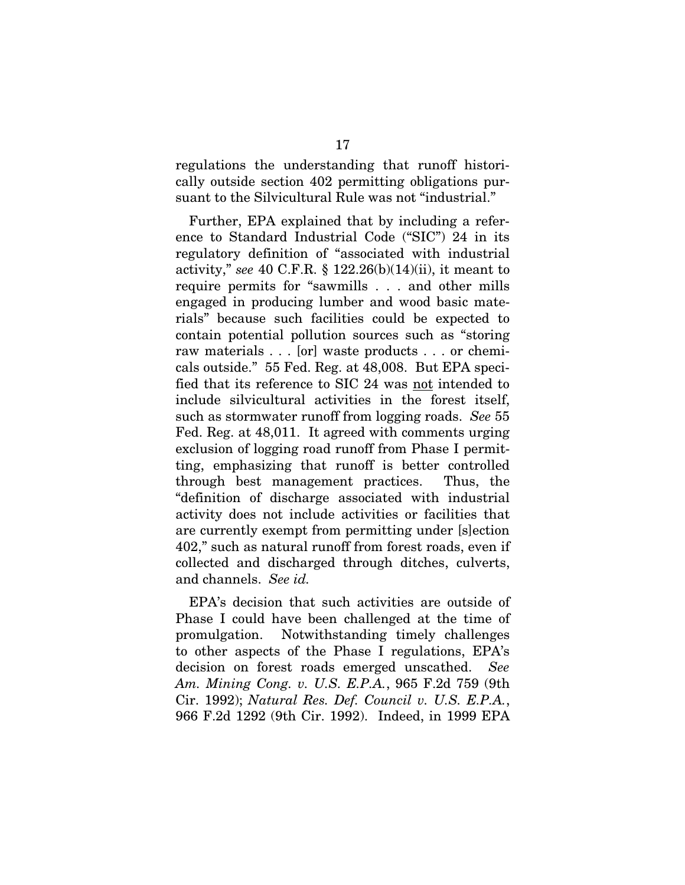regulations the understanding that runoff historically outside section 402 permitting obligations pursuant to the Silvicultural Rule was not "industrial."

Further, EPA explained that by including a reference to Standard Industrial Code ("SIC") 24 in its regulatory definition of "associated with industrial activity," *see* 40 C.F.R. § 122.26(b)(14)(ii), it meant to require permits for "sawmills . . . and other mills engaged in producing lumber and wood basic materials" because such facilities could be expected to contain potential pollution sources such as "storing raw materials . . . [or] waste products . . . or chemicals outside." 55 Fed. Reg. at 48,008. But EPA specified that its reference to SIC 24 was not intended to include silvicultural activities in the forest itself, such as stormwater runoff from logging roads. *See* 55 Fed. Reg. at 48,011. It agreed with comments urging exclusion of logging road runoff from Phase I permitting, emphasizing that runoff is better controlled through best management practices. Thus, the "definition of discharge associated with industrial activity does not include activities or facilities that are currently exempt from permitting under [s]ection 402," such as natural runoff from forest roads, even if collected and discharged through ditches, culverts, and channels. *See id.*

EPA's decision that such activities are outside of Phase I could have been challenged at the time of promulgation. Notwithstanding timely challenges to other aspects of the Phase I regulations, EPA's decision on forest roads emerged unscathed. *See Am. Mining Cong. v. U.S. E.P.A.*, 965 F.2d 759 (9th Cir. 1992); *Natural Res. Def. Council v. U.S. E.P.A.*, 966 F.2d 1292 (9th Cir. 1992). Indeed, in 1999 EPA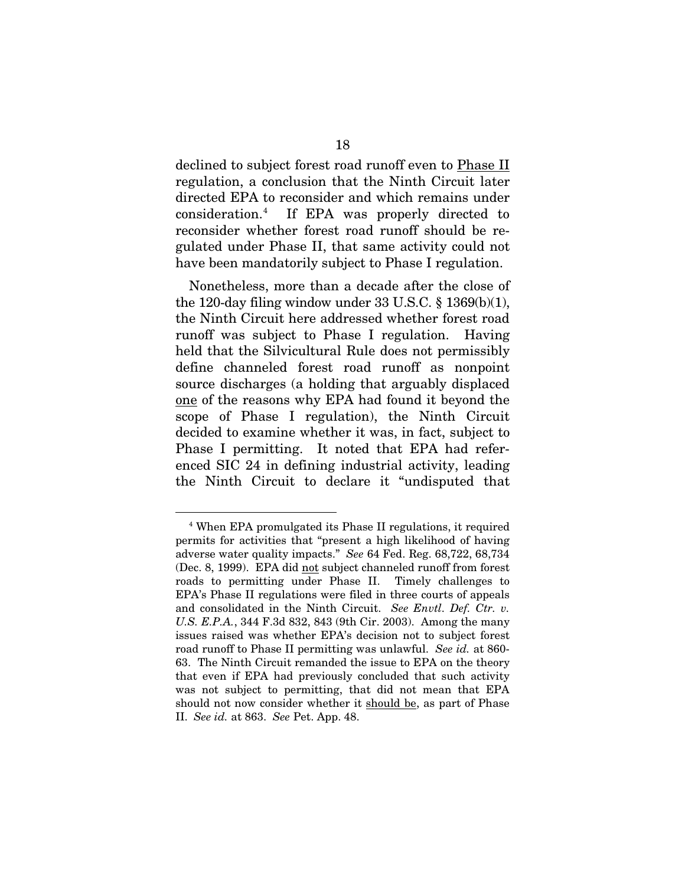declined to subject forest road runoff even to Phase II regulation, a conclusion that the Ninth Circuit later directed EPA to reconsider and which remains under consideration.<sup>[4](#page-24-0)</sup> If EPA was properly directed to reconsider whether forest road runoff should be regulated under Phase II, that same activity could not have been mandatorily subject to Phase I regulation.

Nonetheless, more than a decade after the close of the 120-day filing window under 33 U.S.C.  $\S$  1369(b)(1), the Ninth Circuit here addressed whether forest road runoff was subject to Phase I regulation. Having held that the Silvicultural Rule does not permissibly define channeled forest road runoff as nonpoint source discharges (a holding that arguably displaced one of the reasons why EPA had found it beyond the scope of Phase I regulation), the Ninth Circuit decided to examine whether it was, in fact, subject to Phase I permitting. It noted that EPA had referenced SIC 24 in defining industrial activity, leading the Ninth Circuit to declare it "undisputed that

<span id="page-24-0"></span> <sup>4</sup> When EPA promulgated its Phase II regulations, it required permits for activities that "present a high likelihood of having adverse water quality impacts." *See* 64 Fed. Reg. 68,722, 68,734 (Dec. 8, 1999). EPA did not subject channeled runoff from forest roads to permitting under Phase II. Timely challenges to EPA's Phase II regulations were filed in three courts of appeals and consolidated in the Ninth Circuit. *See Envtl. Def. Ctr. v. U.S. E.P.A.*, 344 F.3d 832, 843 (9th Cir. 2003). Among the many issues raised was whether EPA's decision not to subject forest road runoff to Phase II permitting was unlawful. *See id.* at 860- 63. The Ninth Circuit remanded the issue to EPA on the theory that even if EPA had previously concluded that such activity was not subject to permitting, that did not mean that EPA should not now consider whether it should be, as part of Phase II. *See id.* at 863. *See* Pet. App. 48.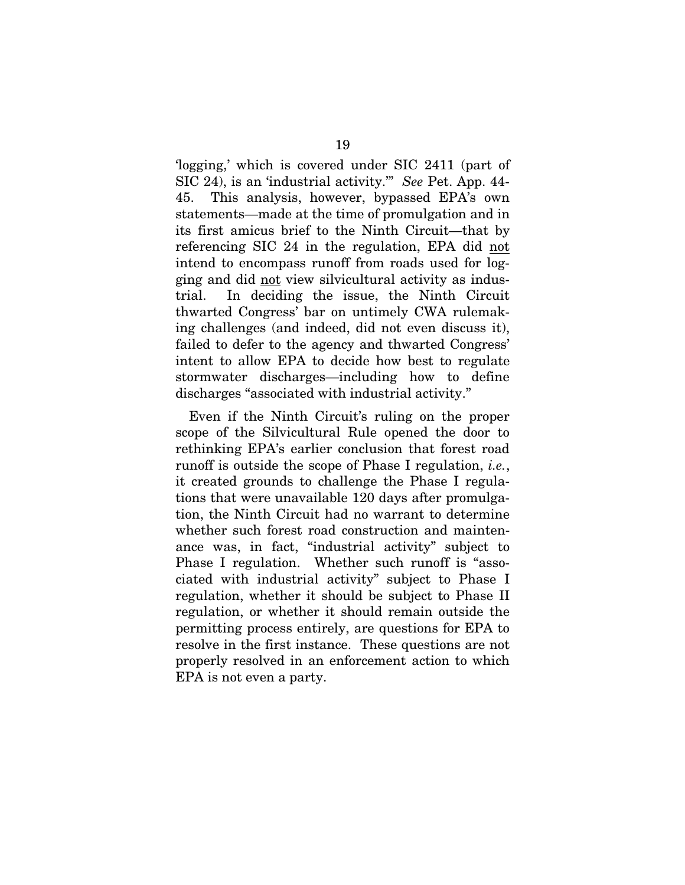'logging,' which is covered under SIC 2411 (part of SIC 24), is an 'industrial activity.'" *See* Pet. App. 44- 45. This analysis, however, bypassed EPA's own statements—made at the time of promulgation and in its first amicus brief to the Ninth Circuit—that by referencing SIC 24 in the regulation, EPA did not intend to encompass runoff from roads used for logging and did not view silvicultural activity as industrial. In deciding the issue, the Ninth Circuit thwarted Congress' bar on untimely CWA rulemaking challenges (and indeed, did not even discuss it), failed to defer to the agency and thwarted Congress' intent to allow EPA to decide how best to regulate stormwater discharges—including how to define discharges "associated with industrial activity."

Even if the Ninth Circuit's ruling on the proper scope of the Silvicultural Rule opened the door to rethinking EPA's earlier conclusion that forest road runoff is outside the scope of Phase I regulation, *i.e.*, it created grounds to challenge the Phase I regulations that were unavailable 120 days after promulgation, the Ninth Circuit had no warrant to determine whether such forest road construction and maintenance was, in fact, "industrial activity" subject to Phase I regulation. Whether such runoff is "associated with industrial activity" subject to Phase I regulation, whether it should be subject to Phase II regulation, or whether it should remain outside the permitting process entirely, are questions for EPA to resolve in the first instance. These questions are not properly resolved in an enforcement action to which EPA is not even a party.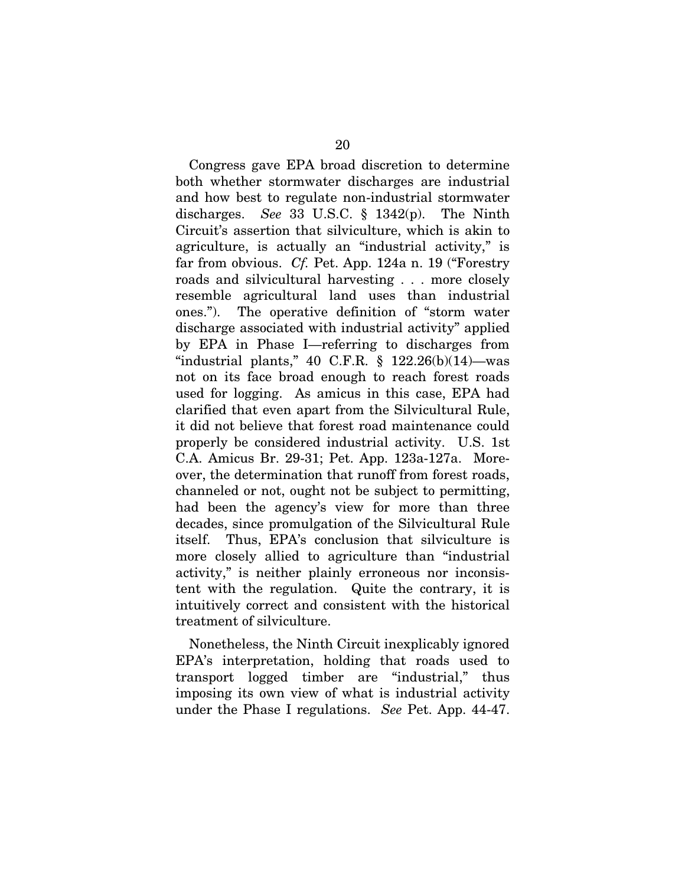Congress gave EPA broad discretion to determine both whether stormwater discharges are industrial and how best to regulate non-industrial stormwater discharges. *See* 33 U.S.C. § 1342(p). The Ninth Circuit's assertion that silviculture, which is akin to agriculture, is actually an "industrial activity," is far from obvious. *Cf.* Pet. App. 124a n. 19 ("Forestry roads and silvicultural harvesting . . . more closely resemble agricultural land uses than industrial ones."). The operative definition of "storm water discharge associated with industrial activity" applied by EPA in Phase I—referring to discharges from "industrial plants," 40 C.F.R.  $\S$  122.26(b)(14)—was not on its face broad enough to reach forest roads used for logging. As amicus in this case, EPA had clarified that even apart from the Silvicultural Rule, it did not believe that forest road maintenance could properly be considered industrial activity. U.S. 1st C.A. Amicus Br. 29-31; Pet. App. 123a-127a. Moreover, the determination that runoff from forest roads, channeled or not, ought not be subject to permitting, had been the agency's view for more than three decades, since promulgation of the Silvicultural Rule itself. Thus, EPA's conclusion that silviculture is more closely allied to agriculture than "industrial activity," is neither plainly erroneous nor inconsistent with the regulation. Quite the contrary, it is intuitively correct and consistent with the historical treatment of silviculture.

Nonetheless, the Ninth Circuit inexplicably ignored EPA's interpretation, holding that roads used to transport logged timber are "industrial," thus imposing its own view of what is industrial activity under the Phase I regulations. *See* Pet. App. 44-47.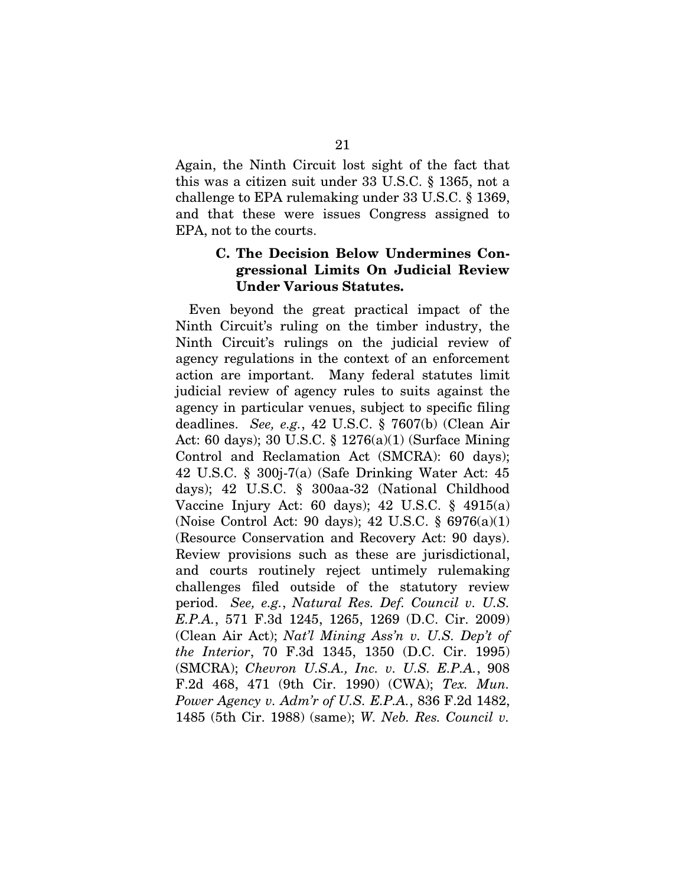Again, the Ninth Circuit lost sight of the fact that this was a citizen suit under 33 U.S.C. § 1365, not a challenge to EPA rulemaking under 33 U.S.C. § 1369, and that these were issues Congress assigned to EPA, not to the courts.

### **C. The Decision Below Undermines Congressional Limits On Judicial Review Under Various Statutes.**

Even beyond the great practical impact of the Ninth Circuit's ruling on the timber industry, the Ninth Circuit's rulings on the judicial review of agency regulations in the context of an enforcement action are important. Many federal statutes limit judicial review of agency rules to suits against the agency in particular venues, subject to specific filing deadlines. *See, e.g.*, 42 U.S.C. § 7607(b) (Clean Air Act: 60 days); 30 U.S.C. § 1276(a)(1) (Surface Mining Control and Reclamation Act (SMCRA): 60 days); 42 U.S.C. § 300j-7(a) (Safe Drinking Water Act: 45 days); 42 U.S.C. § 300aa-32 (National Childhood Vaccine Injury Act: 60 days); 42 U.S.C. § 4915(a) (Noise Control Act: 90 days); 42 U.S.C. § 6976(a)(1) (Resource Conservation and Recovery Act: 90 days). Review provisions such as these are jurisdictional, and courts routinely reject untimely rulemaking challenges filed outside of the statutory review period. *See, e.g.*, *Natural Res. Def. Council v. U.S. E.P.A.*, 571 F.3d 1245, 1265, 1269 (D.C. Cir. 2009) (Clean Air Act); *Nat'l Mining Ass'n v. U.S. Dep't of the Interior*, 70 F.3d 1345, 1350 (D.C. Cir. 1995) (SMCRA); *Chevron U.S.A., Inc. v. U.S. E.P.A.*, 908 F.2d 468, 471 (9th Cir. 1990) (CWA); *Tex. Mun. Power Agency v. Adm'r of U.S. E.P.A.*, 836 F.2d 1482, 1485 (5th Cir. 1988) (same); *W. Neb. Res. Council v.*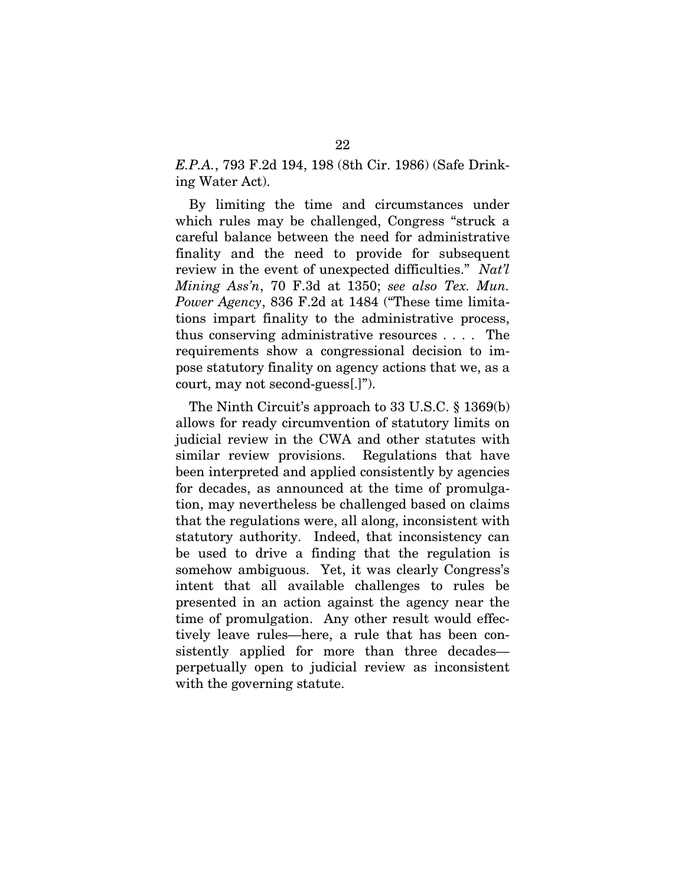*E.P.A.*, 793 F.2d 194, 198 (8th Cir. 1986) (Safe Drinking Water Act).

By limiting the time and circumstances under which rules may be challenged, Congress "struck a careful balance between the need for administrative finality and the need to provide for subsequent review in the event of unexpected difficulties." *Nat'l Mining Ass'n*, 70 F.3d at 1350; *see also Tex. Mun. Power Agency*, 836 F.2d at 1484 ("These time limitations impart finality to the administrative process, thus conserving administrative resources . . . . The requirements show a congressional decision to impose statutory finality on agency actions that we, as a court, may not second-guess[.]").

The Ninth Circuit's approach to 33 U.S.C. § 1369(b) allows for ready circumvention of statutory limits on judicial review in the CWA and other statutes with similar review provisions. Regulations that have been interpreted and applied consistently by agencies for decades, as announced at the time of promulgation, may nevertheless be challenged based on claims that the regulations were, all along, inconsistent with statutory authority. Indeed, that inconsistency can be used to drive a finding that the regulation is somehow ambiguous. Yet, it was clearly Congress's intent that all available challenges to rules be presented in an action against the agency near the time of promulgation. Any other result would effectively leave rules—here, a rule that has been consistently applied for more than three decades perpetually open to judicial review as inconsistent with the governing statute.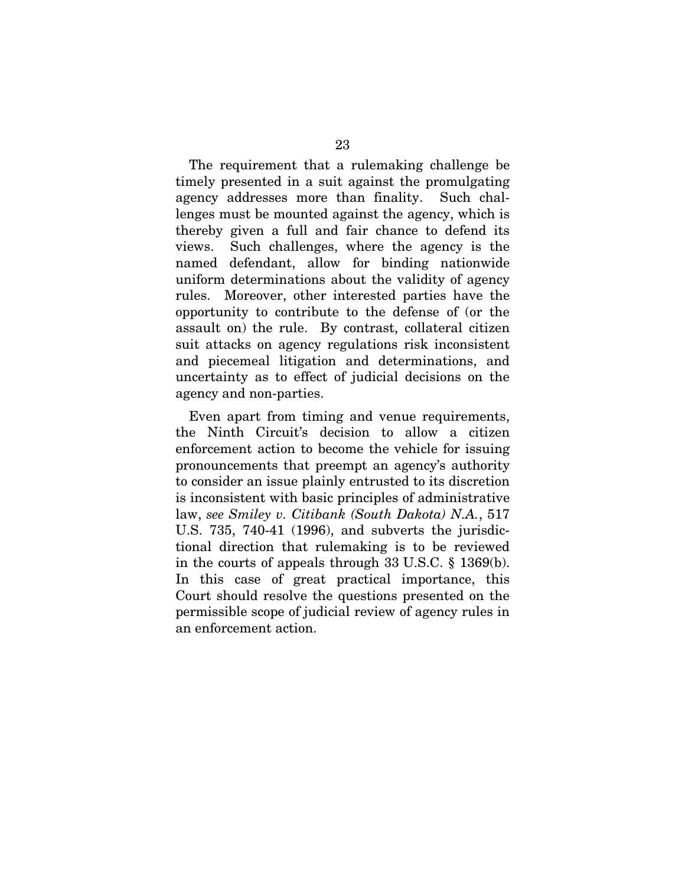The requirement that a rulemaking challenge be timely presented in a suit against the promulgating agency addresses more than finality. Such challenges must be mounted against the agency, which is thereby given a full and fair chance to defend its views. Such challenges, where the agency is the named defendant, allow for binding nationwide uniform determinations about the validity of agency rules. Moreover, other interested parties have the opportunity to contribute to the defense of (or the assault on) the rule. By contrast, collateral citizen suit attacks on agency regulations risk inconsistent and piecemeal litigation and determinations, and uncertainty as to effect of judicial decisions on the agency and non-parties.

Even apart from timing and venue requirements, the Ninth Circuit's decision to allow a citizen enforcement action to become the vehicle for issuing pronouncements that preempt an agency's authority to consider an issue plainly entrusted to its discretion is inconsistent with basic principles of administrative law, *see Smiley v. Citibank (South Dakota) N.A.*, 517 U.S. 735, 740-41 (1996), and subverts the jurisdictional direction that rulemaking is to be reviewed in the courts of appeals through 33 U.S.C. § 1369(b). In this case of great practical importance, this Court should resolve the questions presented on the permissible scope of judicial review of agency rules in an enforcement action.